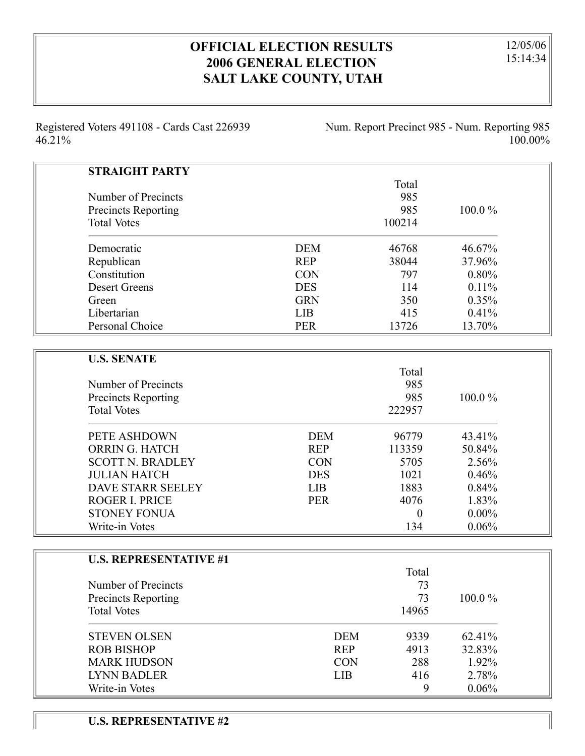## **OFFICIAL ELECTION RESULTS 2006 GENERAL ELECTION SALT LAKE COUNTY, UTAH**

12/05/06 15:14:34

Registered Voters 491108 - Cards Cast 226939 46.21%

Num. Report Precinct 985 - Num. Reporting 985 100.00%

| <b>STRAIGHT PARTY</b>      |            |        |           |
|----------------------------|------------|--------|-----------|
|                            |            | Total  |           |
| Number of Precincts        |            | 985    |           |
| <b>Precincts Reporting</b> |            | 985    | $100.0\%$ |
| <b>Total Votes</b>         |            | 100214 |           |
| Democratic                 | <b>DEM</b> | 46768  | 46.67%    |
| Republican                 | <b>REP</b> | 38044  | 37.96%    |
| Constitution               | <b>CON</b> | 797    | 0.80%     |
| <b>Desert Greens</b>       | <b>DES</b> | 114    | 0.11%     |
| Green                      | <b>GRN</b> | 350    | 0.35%     |
| Libertarian                | LIB        | 415    | 0.41%     |
| Personal Choice            | <b>PER</b> | 13726  | 13.70%    |
|                            |            |        |           |
| <b>U.S. SENATE</b>         |            |        |           |
|                            |            | Total  |           |
| Number of Precincts        |            | 985    |           |
| Precincts Reporting        |            | 985    | 100.0%    |
| <b>Total Votes</b>         |            | 222957 |           |
| PETE ASHDOWN               | <b>DEM</b> | 96779  | 43.41%    |
| ORRIN G. HATCH             | <b>REP</b> | 113359 | 50.84%    |
| <b>SCOTT N. BRADLEY</b>    | <b>CON</b> | 5705   | 2.56%     |
| <b>JULIAN HATCH</b>        | <b>DES</b> | 1021   | 0.46%     |
| DAVE STARR SEELEY          | <b>LIB</b> | 1883   | 0.84%     |
| ROGER I. PRICE             | <b>PER</b> | 4076   | 1.83%     |
| <b>STONEY FONUA</b>        |            | 0      | $0.00\%$  |

| <b>U.S. REPRESENTATIVE #1</b> |            |       |           |
|-------------------------------|------------|-------|-----------|
|                               |            | Total |           |
| Number of Precincts           |            | 73    |           |
| <b>Precincts Reporting</b>    |            | 73    | $100.0\%$ |
| <b>Total Votes</b>            |            | 14965 |           |
| <b>STEVEN OLSEN</b>           | <b>DEM</b> | 9339  | 62.41%    |
| <b>ROB BISHOP</b>             | <b>REP</b> | 4913  | 32.83%    |
| <b>MARK HUDSON</b>            | <b>CON</b> | 288   | 1.92%     |
| <b>LYNN BADLER</b>            | <b>LIB</b> | 416   | 2.78%     |
| Write-in Votes                |            | 9     | $0.06\%$  |

Write-in Votes 134 0.06%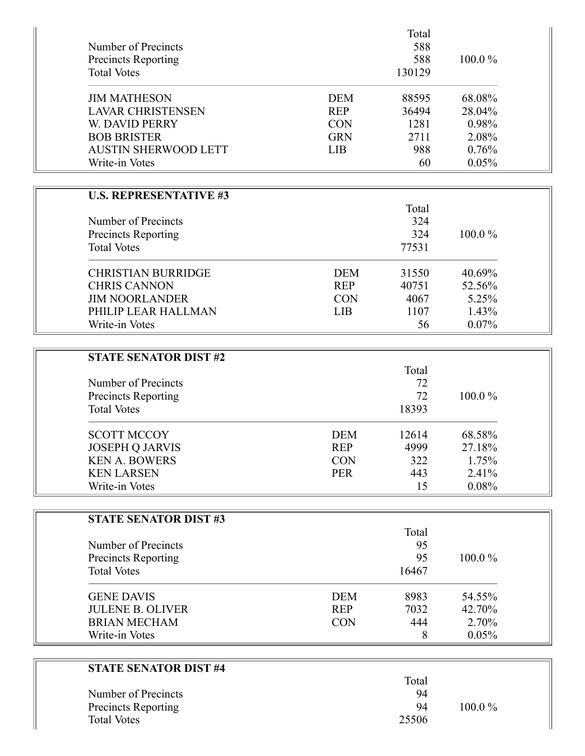| Number of Precincts                              |            | Total<br>588  |        |
|--------------------------------------------------|------------|---------------|--------|
| <b>Precincts Reporting</b><br><b>Total Votes</b> |            | 588<br>130129 | 100.0% |
| <b>JIM MATHESON</b>                              | <b>DEM</b> | 88595         | 68.08% |
| <b>LAVAR CHRISTENSEN</b>                         | <b>REP</b> | 36494         | 28.04% |
| W. DAVID PERRY                                   | <b>CON</b> | 1281          | 0.98%  |
| <b>BOB BRISTER</b>                               | <b>GRN</b> | 2711          | 2.08%  |
| <b>AUSTIN SHERWOOD LETT</b>                      | <b>LIB</b> | 988           | 0.76%  |
| Write-in Votes                                   |            | 60            | 0.05%  |
| <b>U.S. REPRESENTATIVE #3</b>                    |            |               |        |
|                                                  |            | Total         |        |
| Number of Precincts                              |            | 324           |        |
| <b>Precincts Reporting</b>                       |            | 324           | 100.0% |
| <b>Total Votes</b>                               |            | 77531         |        |
| <b>CHRISTIAN BURRIDGE</b>                        | <b>DEM</b> | 31550         | 40.69% |
| <b>CHRIS CANNON</b>                              | <b>REP</b> | 40751         | 52.56% |
| <b>JIM NOORLANDER</b>                            | <b>CON</b> | 4067          | 5.25%  |
| PHILIP LEAR HALLMAN                              | LIB        | 1107          | 1.43%  |
| Write-in Votes                                   |            | 56            | 0.07%  |
|                                                  |            |               |        |
| <b>STATE SENATOR DIST #2</b>                     |            |               |        |
|                                                  |            | Total         |        |
| Number of Precincts                              |            | 72            |        |
| <b>Precincts Reporting</b>                       |            | 72            | 100.0% |
| <b>Total Votes</b>                               |            | 18393         |        |
| <b>SCOTT MCCOY</b>                               | <b>DEM</b> | 12614         | 68.58% |
| <b>JOSEPH Q JARVIS</b>                           | <b>REP</b> | 4999          | 27.18% |
| <b>KEN A. BOWERS</b>                             | <b>CON</b> | 322           | 1.75%  |
| <b>KEN LARSEN</b>                                | <b>PER</b> | 443           | 2.41%  |
| Write-in Votes                                   |            | 15            | 0.08%  |
|                                                  |            |               |        |
| <b>STATE SENATOR DIST #3</b>                     |            |               |        |
|                                                  |            | Total<br>95   |        |
| Number of Precincts                              |            | 95            | 100.0% |
| Precincts Reporting<br><b>Total Votes</b>        |            | 16467         |        |
|                                                  |            |               |        |
| <b>GENE DAVIS</b>                                | <b>DEM</b> | 8983          | 54.55% |
| <b>JULENE B. OLIVER</b>                          | <b>REP</b> | 7032          | 42.70% |
| <b>BRIAN MECHAM</b>                              | <b>CON</b> | 444           | 2.70%  |
| Write-in Votes                                   |            | 8             | 0.05%  |
| <b>STATE SENATOR DIST #4</b>                     |            |               |        |
|                                                  |            | Total         |        |
| Number of Precincts                              |            | 94            |        |

Precincts Reporting 2001 2008 100.0 %

Total Votes 25506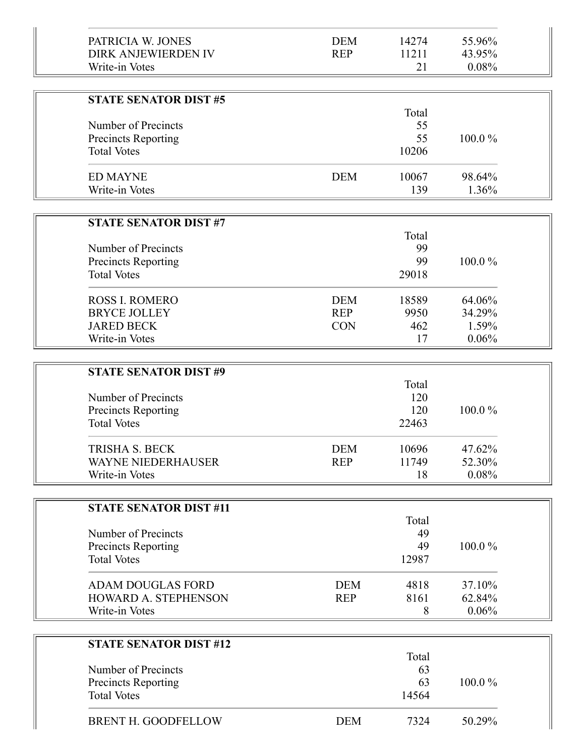| PATRICIA W. JONES<br><b>DIRK ANJEWIERDEN IV</b><br>Write-in Votes | <b>DEM</b><br><b>REP</b> | 14274<br>11211<br>21 | 55.96%<br>43.95%<br>0.08% |  |
|-------------------------------------------------------------------|--------------------------|----------------------|---------------------------|--|
|                                                                   |                          |                      |                           |  |
| <b>STATE SENATOR DIST #5</b>                                      |                          |                      |                           |  |
| Number of Precincts                                               |                          | Total<br>55          |                           |  |
| <b>Precincts Reporting</b>                                        |                          | 55                   | 100.0%                    |  |
| <b>Total Votes</b>                                                |                          | 10206                |                           |  |
|                                                                   |                          |                      |                           |  |
| <b>ED MAYNE</b>                                                   | <b>DEM</b>               | 10067                | 98.64%                    |  |
| Write-in Votes                                                    |                          | 139                  | 1.36%                     |  |
|                                                                   |                          |                      |                           |  |
| <b>STATE SENATOR DIST #7</b>                                      |                          |                      |                           |  |
| Number of Precincts                                               |                          | Total<br>99          |                           |  |
| <b>Precincts Reporting</b>                                        |                          | 99                   | 100.0%                    |  |
| <b>Total Votes</b>                                                |                          | 29018                |                           |  |
|                                                                   |                          |                      |                           |  |
| <b>ROSS I. ROMERO</b>                                             | <b>DEM</b>               | 18589                | 64.06%                    |  |
| <b>BRYCE JOLLEY</b>                                               | <b>REP</b>               | 9950                 | 34.29%                    |  |
| <b>JARED BECK</b>                                                 | <b>CON</b>               | 462                  | 1.59%                     |  |
| Write-in Votes                                                    |                          | 17                   | 0.06%                     |  |
|                                                                   |                          |                      |                           |  |
| <b>STATE SENATOR DIST #9</b>                                      |                          | Total                |                           |  |
| Number of Precincts                                               |                          | 120                  |                           |  |
| <b>Precincts Reporting</b>                                        |                          | 120                  | 100.0%                    |  |
| <b>Total Votes</b>                                                |                          | 22463                |                           |  |
| <b>TRISHA S. BECK</b>                                             | <b>DEM</b>               | 10696                | 47.62%                    |  |
| WAYNE NIEDERHAUSER                                                | <b>REP</b>               | 11749                | 52.30%                    |  |
| Write-in Votes                                                    |                          | 18                   | 0.08%                     |  |
|                                                                   |                          |                      |                           |  |
| <b>STATE SENATOR DIST #11</b>                                     |                          |                      |                           |  |
|                                                                   |                          | Total                |                           |  |
| Number of Precincts                                               |                          | 49                   |                           |  |
| <b>Precincts Reporting</b>                                        |                          | 49                   | 100.0%                    |  |
| <b>Total Votes</b>                                                |                          | 12987                |                           |  |
| <b>ADAM DOUGLAS FORD</b>                                          | <b>DEM</b>               | 4818                 | 37.10%                    |  |
| HOWARD A. STEPHENSON                                              | <b>REP</b>               | 8161                 | 62.84%                    |  |
| Write-in Votes                                                    |                          | 8                    | 0.06%                     |  |
|                                                                   |                          |                      |                           |  |
| <b>STATE SENATOR DIST #12</b>                                     |                          |                      |                           |  |
|                                                                   |                          | Total                |                           |  |
| Number of Precincts                                               |                          | 63<br>63             | 100.0%                    |  |
| <b>Precincts Reporting</b><br><b>Total Votes</b>                  |                          | 14564                |                           |  |
|                                                                   |                          |                      |                           |  |
| <b>BRENT H. GOODFELLOW</b>                                        | <b>DEM</b>               | 7324                 | 50.29%                    |  |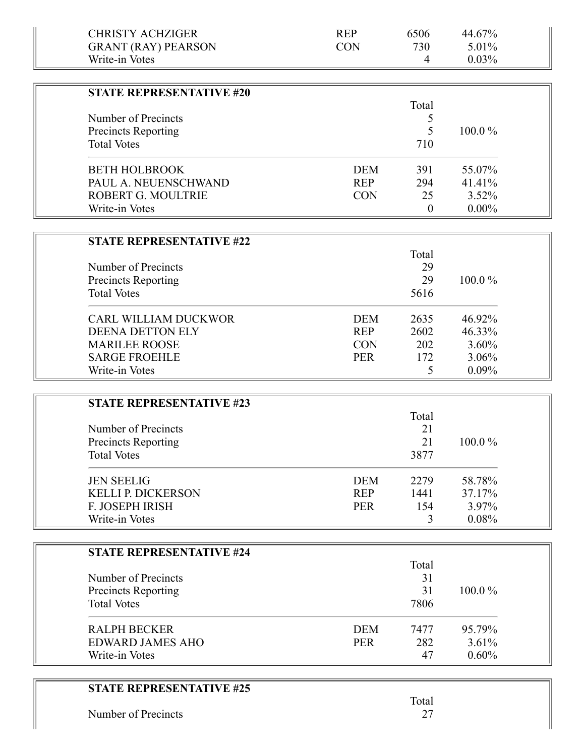| <b>CHRISTY ACHZIGER</b>         | <b>REP</b> | 6506         | 44.67%   |  |
|---------------------------------|------------|--------------|----------|--|
| <b>GRANT (RAY) PEARSON</b>      | <b>CON</b> | 730          | 5.01%    |  |
| Write-in Votes                  |            | 4            | 0.03%    |  |
|                                 |            |              |          |  |
| <b>STATE REPRESENTATIVE #20</b> |            |              |          |  |
|                                 |            | Total        |          |  |
| Number of Precincts             |            | 5            |          |  |
| <b>Precincts Reporting</b>      |            | 5            | 100.0%   |  |
| <b>Total Votes</b>              |            | 710          |          |  |
| <b>BETH HOLBROOK</b>            | <b>DEM</b> | 391          | 55.07%   |  |
| PAUL A. NEUENSCHWAND            | <b>REP</b> | 294          | 41.41%   |  |
| <b>ROBERT G. MOULTRIE</b>       | <b>CON</b> | 25           | $3.52\%$ |  |
| Write-in Votes                  |            | $\mathbf{0}$ | $0.00\%$ |  |
|                                 |            |              |          |  |
| <b>STATE REPRESENTATIVE #22</b> |            |              |          |  |
|                                 |            | Total        |          |  |
| Number of Precincts             |            | 29           |          |  |
| <b>Precincts Reporting</b>      |            | 29           | 100.0%   |  |
| <b>Total Votes</b>              |            | 5616         |          |  |
| CARL WILLIAM DUCKWOR            | <b>DEM</b> | 2635         | 46.92%   |  |
| <b>DEENA DETTON ELY</b>         | <b>REP</b> | 2602         | 46.33%   |  |
| <b>MARILEE ROOSE</b>            | <b>CON</b> | 202          | $3.60\%$ |  |
| <b>SARGE FROEHLE</b>            | <b>PER</b> | 172          | 3.06%    |  |
| Write-in Votes                  |            | 5            | 0.09%    |  |
|                                 |            |              |          |  |
| <b>STATE REPRESENTATIVE #23</b> |            |              |          |  |
|                                 |            | Total        |          |  |
| Number of Precincts             |            | 21           |          |  |
| <b>Precincts Reporting</b>      |            | 21           | 100.0%   |  |
| <b>Total Votes</b>              |            | 3877         |          |  |
| <b>JEN SEELIG</b>               | <b>DEM</b> | 2279         | 58.78%   |  |
| <b>KELLI P. DICKERSON</b>       | <b>REP</b> | 1441         | 37.17%   |  |
| F. JOSEPH IRISH                 | <b>PER</b> | 154          | 3.97%    |  |
| Write-in Votes                  |            | 3            | 0.08%    |  |
|                                 |            |              |          |  |
| <b>STATE REPRESENTATIVE #24</b> |            |              |          |  |
|                                 |            | Total        |          |  |
| Number of Precincts             |            | 31           |          |  |
| <b>Precincts Reporting</b>      |            | 31           | 100.0%   |  |
| <b>Total Votes</b>              |            | 7806         |          |  |
| <b>RALPH BECKER</b>             | <b>DEM</b> | 7477         | 95.79%   |  |
| <b>EDWARD JAMES AHO</b>         | <b>PER</b> | 282          | 3.61%    |  |
| Write-in Votes                  |            | 47           | 0.60%    |  |
|                                 |            |              |          |  |

| <b>STATE REPRESENTATIVE #25</b> |  |
|---------------------------------|--|
|---------------------------------|--|

Number of Precincts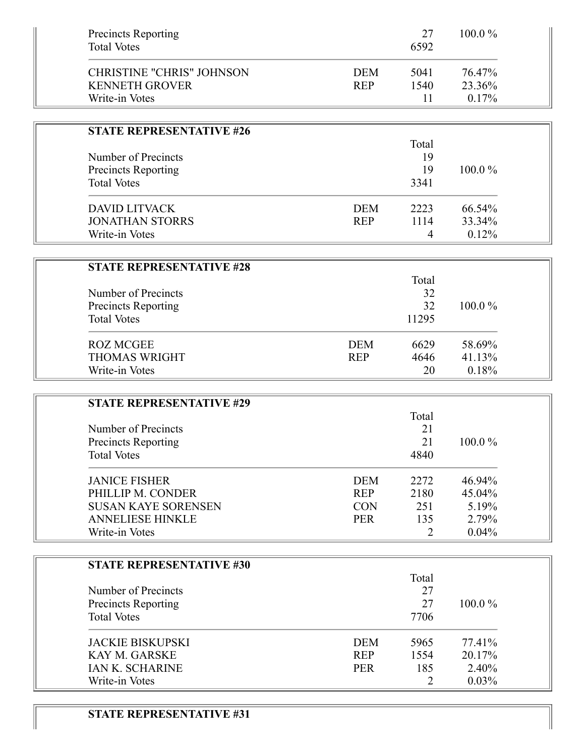| <b>Precincts Reporting</b><br><b>Total Votes</b>          |                          | 27<br>6592   | 100.0%           |  |
|-----------------------------------------------------------|--------------------------|--------------|------------------|--|
| <b>CHRISTINE "CHRIS" JOHNSON</b><br><b>KENNETH GROVER</b> | <b>DEM</b><br><b>REP</b> | 5041<br>1540 | 76.47%<br>23.36% |  |
| Write-in Votes                                            |                          | 11           | 0.17%            |  |
| <b>STATE REPRESENTATIVE #26</b>                           |                          |              |                  |  |
|                                                           |                          | Total        |                  |  |
| Number of Precincts                                       |                          | 19           |                  |  |
| <b>Precincts Reporting</b>                                |                          | 19           | 100.0%           |  |
| <b>Total Votes</b>                                        |                          | 3341         |                  |  |
| <b>DAVID LITVACK</b>                                      | <b>DEM</b>               | 2223         | 66.54%           |  |
| <b>JONATHAN STORRS</b>                                    | <b>REP</b>               | 1114         | 33.34%           |  |
| Write-in Votes                                            |                          | 4            | 0.12%            |  |
|                                                           |                          |              |                  |  |
| <b>STATE REPRESENTATIVE #28</b>                           |                          | Total        |                  |  |
| Number of Precincts                                       |                          | 32           |                  |  |
| <b>Precincts Reporting</b>                                |                          | 32           | 100.0%           |  |
| <b>Total Votes</b>                                        |                          | 11295        |                  |  |
| <b>ROZ MCGEE</b>                                          | <b>DEM</b>               | 6629         | 58.69%           |  |
| <b>THOMAS WRIGHT</b>                                      | <b>REP</b>               | 4646         | 41.13%           |  |
| Write-in Votes                                            |                          | 20           | 0.18%            |  |
|                                                           |                          |              |                  |  |
| <b>STATE REPRESENTATIVE #29</b>                           |                          | Total        |                  |  |
| Number of Precincts                                       |                          | 21           |                  |  |
| <b>Precincts Reporting</b>                                |                          | 21           | 100.0%           |  |
| <b>Total Votes</b>                                        |                          | 4840         |                  |  |
| <b>JANICE FISHER</b>                                      | <b>DEM</b>               | 2272         | 46.94%           |  |
| PHILLIP M. CONDER                                         | <b>REP</b>               | 2180         | 45.04%           |  |
| <b>SUSAN KAYE SORENSEN</b>                                | <b>CON</b>               | 251          | 5.19%            |  |
| <b>ANNELIESE HINKLE</b>                                   | <b>PER</b>               | 135          | 2.79%            |  |
| Write-in Votes                                            |                          | 2            | 0.04%            |  |
|                                                           |                          |              |                  |  |
| <b>STATE REPRESENTATIVE #30</b>                           |                          | Total        |                  |  |
| Number of Precincts                                       |                          | 27           |                  |  |
| Precincts Reporting                                       |                          | 27           | 100.0%           |  |
| <b>Total Votes</b>                                        |                          | 7706         |                  |  |
| <b>JACKIE BISKUPSKI</b>                                   | <b>DEM</b>               | 5965         | 77.41%           |  |
| KAY M. GARSKE                                             | <b>REP</b>               | 1554         | 20.17%           |  |
| <b>IAN K. SCHARINE</b>                                    | <b>PER</b>               | 185          | 2.40%            |  |
| Write-in Votes                                            |                          | 2            | 0.03%            |  |
|                                                           |                          |              |                  |  |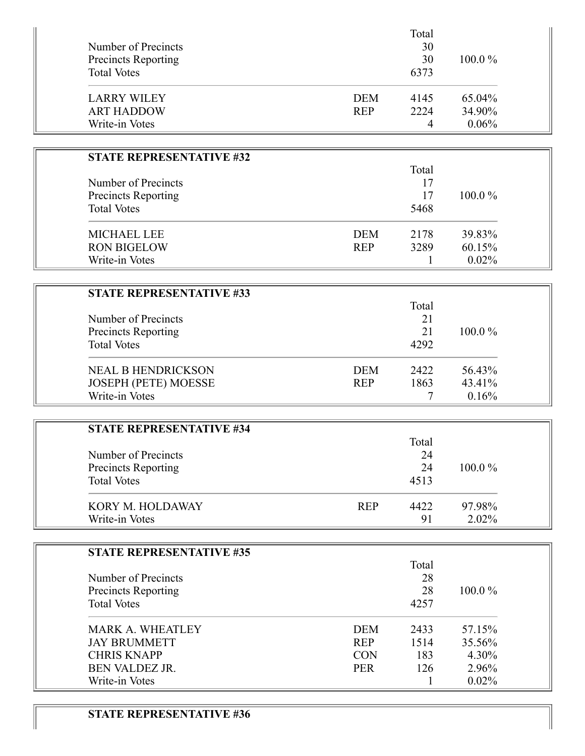| Number of Precincts<br><b>Precincts Reporting</b><br><b>Total Votes</b> |            | Total<br>30<br>30<br>6373 | $100.0\%$ |
|-------------------------------------------------------------------------|------------|---------------------------|-----------|
| <b>LARRY WILEY</b>                                                      | <b>DEM</b> | 4145                      | 65.04%    |
| <b>ART HADDOW</b>                                                       | <b>REP</b> | 2224                      | 34.90%    |
| Write-in Votes                                                          |            | 4                         | 0.06%     |

| <b>STATE REPRESENTATIVE #32</b> |            |      |           |
|---------------------------------|------------|------|-----------|
|                                 | Total      |      |           |
| Number of Precincts             | 17<br>17   |      |           |
| <b>Precincts Reporting</b>      |            |      | $100.0\%$ |
| <b>Total Votes</b>              |            | 5468 |           |
| <b>MICHAEL LEE</b>              | <b>DEM</b> | 2178 | 39.83%    |
| <b>RON BIGELOW</b>              | <b>REP</b> | 3289 | 60.15%    |
| Write-in Votes                  |            |      | $0.02\%$  |

| <b>STATE REPRESENTATIVE #33</b> |            |       |           |
|---------------------------------|------------|-------|-----------|
|                                 |            | Total |           |
| Number of Precincts             |            | 21    |           |
| Precincts Reporting             |            | 21    | $100.0\%$ |
| <b>Total Votes</b>              |            | 4292  |           |
| <b>NEAL B HENDRICKSON</b>       | <b>DEM</b> | 2422  | 56.43%    |
| JOSEPH (PETE) MOESSE            | <b>REP</b> | 1863  | 43.41%    |
| Write-in Votes                  |            |       | 0.16%     |

| <b>STATE REPRESENTATIVE #34</b> |            |       |           |
|---------------------------------|------------|-------|-----------|
|                                 |            | Total |           |
| Number of Precincts             |            | 24    |           |
| Precincts Reporting             |            | 24    | $100.0\%$ |
| <b>Total Votes</b>              |            | 4513  |           |
| KORY M. HOLDAWAY                | <b>REP</b> | 4422  | 97.98%    |
| Write-in Votes                  |            | 91    | $2.02\%$  |

| <b>STATE REPRESENTATIVE #35</b> |            |      |           |
|---------------------------------|------------|------|-----------|
|                                 |            |      |           |
| Number of Precincts             |            | 28   |           |
| Precincts Reporting             |            | 28   | $100.0\%$ |
| <b>Total Votes</b>              |            | 4257 |           |
| <b>MARK A. WHEATLEY</b>         | <b>DEM</b> | 2433 | 57.15%    |
| <b>JAY BRUMMETT</b>             | <b>REP</b> | 1514 | 35.56%    |
| <b>CHRIS KNAPP</b>              | <b>CON</b> | 183  | $4.30\%$  |
| <b>BEN VALDEZ JR.</b>           | <b>PER</b> | 126  | 2.96%     |
| Write-in Votes                  |            |      | $0.02\%$  |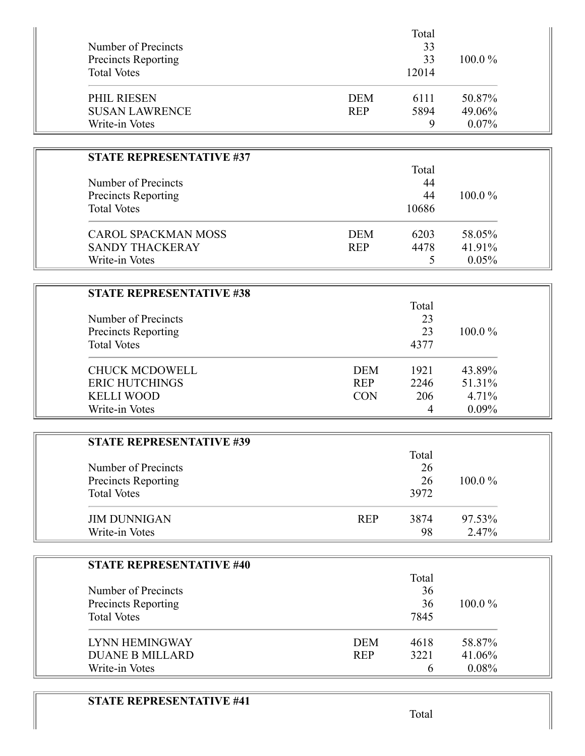| Number of Precincts<br><b>Precincts Reporting</b><br><b>Total Votes</b> |            | Total<br>33<br>33<br>12014 |           |  |
|-------------------------------------------------------------------------|------------|----------------------------|-----------|--|
| PHIL RIESEN                                                             | <b>DEM</b> | 6111                       | 50.87%    |  |
| <b>SUSAN LAWRENCE</b>                                                   | <b>REP</b> | 5894                       | 49.06%    |  |
| Write-in Votes                                                          |            | 9                          | $0.07\%$  |  |
| <b>STATE REPRESENTATIVE #37</b>                                         |            |                            |           |  |
|                                                                         |            | Total                      |           |  |
| Number of Precincts                                                     |            | 44                         |           |  |
| <b>Precincts Reporting</b>                                              |            | 44                         | $100.0\%$ |  |
| <b>Total Votes</b>                                                      |            | 10686                      |           |  |
| <b>CAROL SPACKMAN MOSS</b>                                              | <b>DEM</b> | 6203                       | 58.05%    |  |
| <b>SANDY THACKERAY</b>                                                  | <b>REP</b> | 4478                       | 41.91%    |  |
| Write-in Votes                                                          |            | 5                          | 0.05%     |  |

| <b>STATE REPRESENTATIVE #38</b> |            |       |           |
|---------------------------------|------------|-------|-----------|
|                                 |            | Total |           |
| Number of Precincts             |            | 23    |           |
| <b>Precincts Reporting</b>      |            | 23    | $100.0\%$ |
| <b>Total Votes</b>              |            | 4377  |           |
| <b>CHUCK MCDOWELL</b>           | <b>DEM</b> | 1921  | 43.89%    |
| <b>ERIC HUTCHINGS</b>           | <b>REP</b> | 2246  | 51.31%    |
| <b>KELLI WOOD</b>               | <b>CON</b> | 206   | 4.71%     |
| Write-in Votes                  |            |       | $0.09\%$  |

| <b>STATE REPRESENTATIVE #39</b> |            |       |           |
|---------------------------------|------------|-------|-----------|
|                                 |            | Total |           |
| Number of Precincts             |            | 26    |           |
| Precincts Reporting             |            | 26    | $100.0\%$ |
| <b>Total Votes</b>              |            | 3972  |           |
| <b>JIM DUNNIGAN</b>             | <b>REP</b> | 3874  | 97.53%    |
| Write-in Votes                  |            | 98    | 2.47%     |

| <b>STATE REPRESENTATIVE #40</b> |                    |           |
|---------------------------------|--------------------|-----------|
|                                 | Total              |           |
| Number of Precincts             | 36                 |           |
| <b>Precincts Reporting</b>      | 36                 | $100.0\%$ |
| <b>Total Votes</b>              | 7845               |           |
| LYNN HEMINGWAY                  | <b>DEM</b><br>4618 | 58.87%    |
| <b>DUANE B MILLARD</b>          | 3221<br><b>REP</b> | 41.06%    |
| Write-in Votes                  |                    | $0.08\%$  |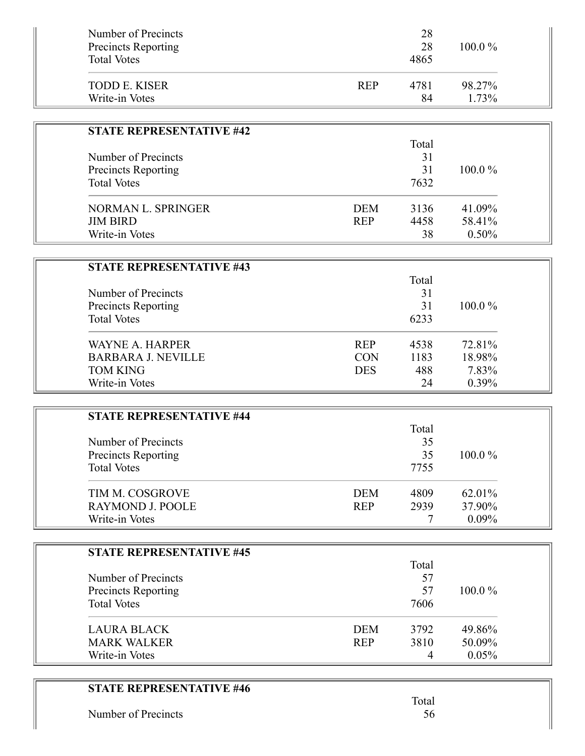| Number of Precincts             | 28         |       |           |  |
|---------------------------------|------------|-------|-----------|--|
| <b>Precincts Reporting</b>      |            | 28    | 100.0%    |  |
| <b>Total Votes</b>              |            | 4865  |           |  |
| <b>TODD E. KISER</b>            | <b>REP</b> | 4781  | 98.27%    |  |
| Write-in Votes                  |            | 84    | 1.73%     |  |
|                                 |            |       |           |  |
| <b>STATE REPRESENTATIVE #42</b> |            |       |           |  |
|                                 |            | Total |           |  |
| Number of Precincts             |            | 31    |           |  |
| <b>Precincts Reporting</b>      |            | 31    | 100.0%    |  |
| <b>Total Votes</b>              |            | 7632  |           |  |
| NORMAN L. SPRINGER              | <b>DEM</b> | 3136  | 41.09%    |  |
| <b>JIM BIRD</b>                 | <b>REP</b> | 4458  | 58.41%    |  |
| Write-in Votes                  |            | 38    | 0.50%     |  |
|                                 |            |       |           |  |
| <b>STATE REPRESENTATIVE #43</b> |            |       |           |  |
|                                 |            | Total |           |  |
| Number of Precincts             |            | 31    |           |  |
| Precincts Reporting             |            | 31    | 100.0%    |  |
| <b>Total Votes</b>              |            | 6233  |           |  |
|                                 |            |       |           |  |
| <b>WAYNE A. HARPER</b>          | <b>REP</b> | 4538  | 72.81%    |  |
| <b>BARBARA J. NEVILLE</b>       | <b>CON</b> | 1183  | 18.98%    |  |
| <b>TOM KING</b>                 | <b>DES</b> | 488   | 7.83%     |  |
| Write-in Votes                  |            | 24    | 0.39%     |  |
|                                 |            |       |           |  |
| <b>STATE REPRESENTATIVE #44</b> |            |       |           |  |
|                                 |            | Total |           |  |
| Number of Precincts             |            | 35    |           |  |
| Precincts Reporting             |            | 35    | $100.0\%$ |  |
| <b>Total Votes</b>              |            | 7755  |           |  |
| TIM M. COSGROVE                 | <b>DEM</b> | 4809  | 62.01%    |  |
| <b>RAYMOND J. POOLE</b>         | <b>REP</b> | 2939  | 37.90%    |  |
| Write-in Votes                  |            | 7     | 0.09%     |  |
|                                 |            |       |           |  |
| <b>STATE REPRESENTATIVE #45</b> |            |       |           |  |
|                                 |            | Total |           |  |
| Number of Precincts             |            | 57    |           |  |
| Precincts Reporting             |            | 57    | 100.0%    |  |
| <b>Total Votes</b>              |            | 7606  |           |  |
|                                 |            |       |           |  |
| <b>LAURA BLACK</b>              | <b>DEM</b> | 3792  | 49.86%    |  |
| <b>MARK WALKER</b>              | <b>REP</b> | 3810  | 50.09%    |  |
| Write-in Votes                  |            | 4     | 0.05%     |  |

## **STATE REPRESENTATIVE #46**

Number of Precincts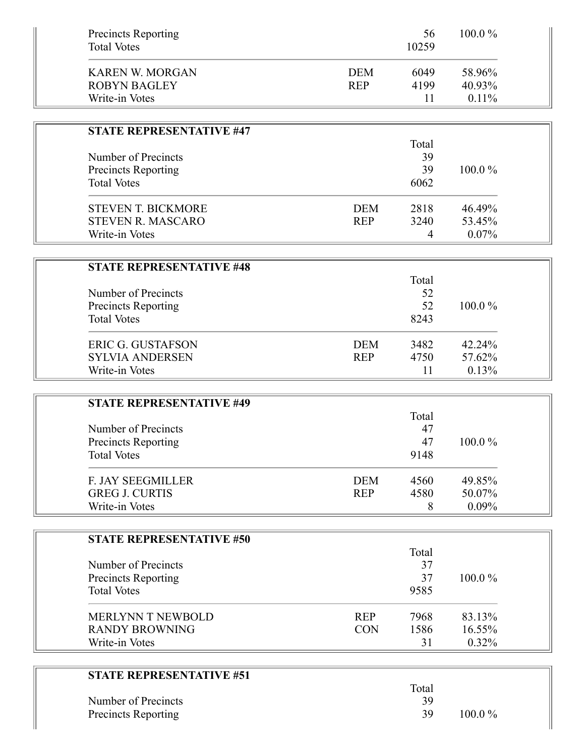| <b>Precincts Reporting</b><br><b>Total Votes</b> |            | 56<br>10259 | 100.0% |
|--------------------------------------------------|------------|-------------|--------|
| <b>KAREN W. MORGAN</b>                           | <b>DEM</b> | 6049        | 58.96% |
| <b>ROBYN BAGLEY</b>                              | <b>REP</b> | 4199        | 40.93% |
| Write-in Votes                                   |            | 11          | 0.11%  |
| <b>STATE REPRESENTATIVE #47</b>                  |            |             |        |
|                                                  |            | Total       |        |
| Number of Precincts                              |            | 39          |        |
| <b>Precincts Reporting</b>                       |            | 39          | 100.0% |
| <b>Total Votes</b>                               |            | 6062        |        |
| <b>STEVEN T. BICKMORE</b>                        | <b>DEM</b> | 2818        | 46.49% |
| <b>STEVEN R. MASCARO</b>                         | <b>REP</b> | 3240        | 53.45% |
| Write-in Votes                                   |            | 4           | 0.07%  |
| <b>STATE REPRESENTATIVE #48</b>                  |            |             |        |
|                                                  |            | Total       |        |
| Number of Precincts                              |            | 52          |        |
| Precincts Reporting                              |            | 52          | 100.0% |
| <b>Total Votes</b>                               |            | 8243        |        |
| <b>ERIC G. GUSTAFSON</b>                         | <b>DEM</b> | 3482        | 42.24% |
| <b>SYLVIA ANDERSEN</b>                           | <b>REP</b> | 4750        | 57.62% |
| Write-in Votes                                   |            | 11          | 0.13%  |
| <b>STATE REPRESENTATIVE #49</b>                  |            |             |        |
|                                                  |            | Total       |        |
| Number of Precincts                              |            | 47          |        |
| <b>Precincts Reporting</b>                       |            | 47          | 100.0% |
| <b>Total Votes</b>                               |            | 9148        |        |
| <b>F. JAY SEEGMILLER</b>                         | <b>DEM</b> | 4560        | 49.85% |
| <b>GREG J. CURTIS</b>                            | <b>REP</b> | 4580        | 50.07% |
| Write-in Votes                                   |            | 8           | 0.09%  |
| <b>STATE REPRESENTATIVE #50</b>                  |            |             |        |
|                                                  |            | Total       |        |
| Number of Precincts                              |            | 37          |        |
| <b>Precincts Reporting</b>                       |            | 37          | 100.0% |
| <b>Total Votes</b>                               |            | 9585        |        |
| MERLYNN T NEWBOLD                                | <b>REP</b> | 7968        | 83.13% |
|                                                  | <b>CON</b> | 1586        | 16.55% |
| <b>RANDY BROWNING</b>                            |            |             |        |

|                     | Total |             |
|---------------------|-------|-------------|
| Number of Precincts | 39    |             |
| Precincts Reporting | -39   | $100.0\,\%$ |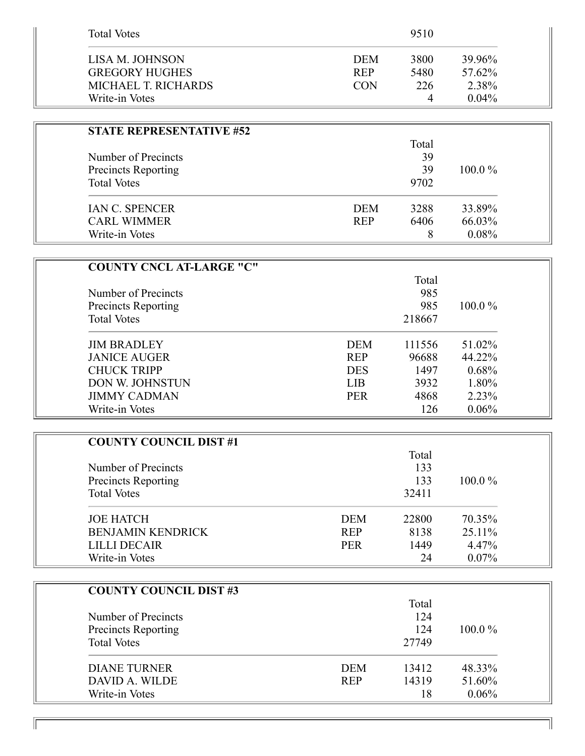| <b>Total Votes</b>    |            | 9510 |          |
|-----------------------|------------|------|----------|
| LISA M. JOHNSON       | <b>DEM</b> | 3800 | 39.96%   |
| <b>GREGORY HUGHES</b> | <b>REP</b> | 5480 | 57.62%   |
| MICHAEL T. RICHARDS   | <b>CON</b> | 226  | 2.38%    |
| Write-in Votes        |            | 4    | $0.04\%$ |

| <b>STATE REPRESENTATIVE #52</b> |            |       |        |
|---------------------------------|------------|-------|--------|
|                                 |            | Total |        |
| Number of Precincts             |            | 39    |        |
| <b>Precincts Reporting</b>      |            | 39    |        |
| <b>Total Votes</b>              |            | 9702  |        |
| <b>IAN C. SPENCER</b>           | <b>DEM</b> | 3288  | 33.89% |
| <b>CARL WIMMER</b>              | <b>REP</b> | 6406  | 66.03% |
| Write-in Votes                  |            | 8     | 0.08%  |

| <b>COUNTY CNCL AT-LARGE "C"</b> |            |        |           |
|---------------------------------|------------|--------|-----------|
|                                 |            | Total  |           |
| Number of Precincts             |            | 985    |           |
| <b>Precincts Reporting</b>      |            | 985    | $100.0\%$ |
| <b>Total Votes</b>              |            | 218667 |           |
| <b>JIM BRADLEY</b>              | <b>DEM</b> | 111556 | 51.02%    |
| <b>JANICE AUGER</b>             | <b>REP</b> | 96688  | 44.22%    |
| <b>CHUCK TRIPP</b>              | <b>DES</b> | 1497   | 0.68%     |
| DON W. JOHNSTUN                 | <b>LIB</b> | 3932   | 1.80%     |
| <b>JIMMY CADMAN</b>             | <b>PER</b> | 4868   | 2.23%     |
| Write-in Votes                  |            | 126    | 0.06%     |

| <b>COUNTY COUNCIL DIST#1</b> |            |       |           |
|------------------------------|------------|-------|-----------|
|                              |            | Total |           |
| Number of Precincts          |            | 133   |           |
| <b>Precincts Reporting</b>   |            | 133   | $100.0\%$ |
| <b>Total Votes</b>           |            | 32411 |           |
| <b>JOE HATCH</b>             | DEM        | 22800 | 70.35%    |
| <b>BENJAMIN KENDRICK</b>     | <b>REP</b> | 8138  | 25.11%    |
| <b>LILLI DECAIR</b>          | <b>PER</b> | 1449  | 4.47%     |
| Write-in Votes               |            | 24    | $0.07\%$  |

| <b>COUNTY COUNCIL DIST #3</b> |            |       |           |
|-------------------------------|------------|-------|-----------|
|                               |            | Total |           |
| Number of Precincts           |            | 124   |           |
| Precincts Reporting           |            | 124   | $100.0\%$ |
| <b>Total Votes</b>            |            | 27749 |           |
| DIANE TURNER                  | <b>DEM</b> | 13412 | 48.33%    |
| DAVID A. WILDE                | <b>REP</b> | 14319 | 51.60%    |
| Write-in Votes                |            | 18    | 0.06%     |

 $\mathbb{I}$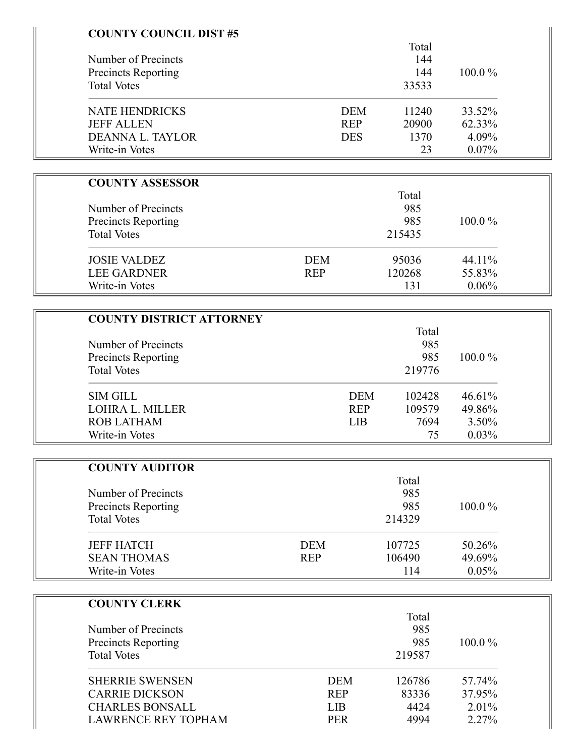| <b>COUNTY COUNCIL DIST #5</b>   |            |                      |        |
|---------------------------------|------------|----------------------|--------|
|                                 |            | Total                |        |
| Number of Precincts             |            | 144                  |        |
| <b>Precincts Reporting</b>      |            | 144                  | 100.0% |
| <b>Total Votes</b>              |            | 33533                |        |
|                                 |            |                      |        |
| <b>NATE HENDRICKS</b>           | <b>DEM</b> | 11240                | 33.52% |
| <b>JEFF ALLEN</b>               | <b>REP</b> | 20900                | 62.33% |
| DEANNA L. TAYLOR                | <b>DES</b> | 1370                 | 4.09%  |
| Write-in Votes                  |            | 23                   | 0.07%  |
|                                 |            |                      |        |
| <b>COUNTY ASSESSOR</b>          |            |                      |        |
|                                 |            | Total                |        |
| Number of Precincts             |            | 985                  |        |
| <b>Precincts Reporting</b>      |            | 985                  | 100.0% |
| <b>Total Votes</b>              |            | 215435               |        |
| <b>JOSIE VALDEZ</b>             | <b>DEM</b> | 95036                | 44.11% |
| <b>LEE GARDNER</b>              | <b>REP</b> | 120268               | 55.83% |
| Write-in Votes                  |            | 131                  | 0.06%  |
|                                 |            |                      |        |
| <b>COUNTY DISTRICT ATTORNEY</b> |            |                      |        |
|                                 |            | Total                |        |
| Number of Precincts             |            | 985                  |        |
| <b>Precincts Reporting</b>      |            | 985                  | 100.0% |
| <b>Total Votes</b>              |            | 219776               |        |
|                                 |            |                      |        |
| <b>SIM GILL</b>                 |            | <b>DEM</b><br>102428 | 46.61% |
| LOHRA L. MILLER                 |            | <b>REP</b><br>109579 | 49.86% |
| <b>ROB LATHAM</b>               |            | <b>LIB</b><br>7694   | 3.50%  |
| Write-in Votes                  |            | 75                   | 0.03%  |
| <b>COUNTY AUDITOR</b>           |            |                      |        |
|                                 |            | Total                |        |
| Number of Precincts             |            | 985                  |        |
| Precincts Reporting             |            | 985                  | 100.0% |
| <b>Total Votes</b>              |            | 214329               |        |
|                                 |            |                      |        |
| <b>JEFF HATCH</b>               | <b>DEM</b> | 107725               | 50.26% |
| <b>SEAN THOMAS</b>              | <b>REP</b> | 106490               | 49.69% |
| Write-in Votes                  |            | 114                  | 0.05%  |
|                                 |            |                      |        |
| <b>COUNTY CLERK</b>             |            | Total                |        |
| Number of Precincts             |            | 985                  |        |
|                                 |            | 985                  |        |
| <b>Precincts Reporting</b>      |            |                      | 100.0% |
| <b>Total Votes</b>              |            | 219587               |        |
| <b>SHERRIE SWENSEN</b>          | <b>DEM</b> | 126786               | 57.74% |
| <b>CARRIE DICKSON</b>           | <b>REP</b> | 83336                | 37.95% |
| <b>CHARLES BONSALL</b>          | <b>LIB</b> | 4424                 | 2.01%  |
|                                 |            |                      |        |

LAWRENCE REY TOPHAM PER 4994 2.27%

 $\parallel$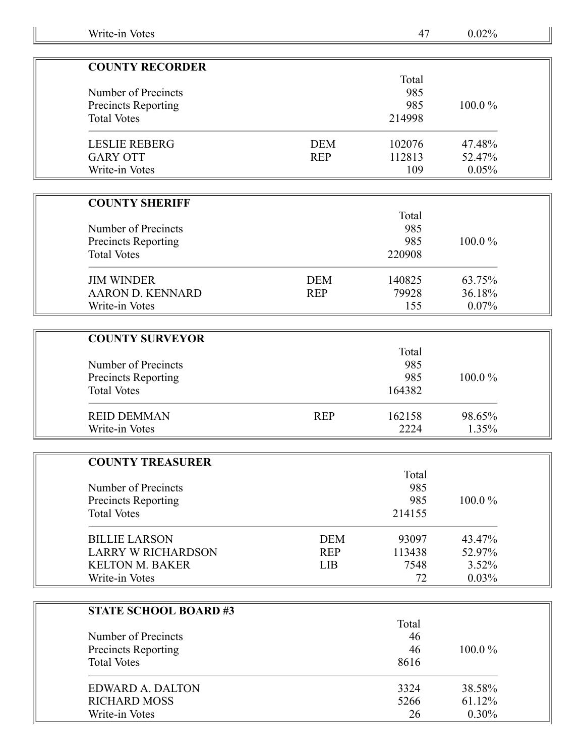| <b>COUNTY RECORDER</b>     |            |        |           |
|----------------------------|------------|--------|-----------|
|                            |            | Total  |           |
| Number of Precincts        |            | 985    |           |
| <b>Precincts Reporting</b> |            | 985    | $100.0\%$ |
| <b>Total Votes</b>         |            | 214998 |           |
| <b>LESLIE REBERG</b>       | <b>DEM</b> | 102076 | 47.48%    |
| <b>GARY OTT</b>            | <b>REP</b> | 112813 | 52.47%    |
| Write-in Votes             |            | 109    | 0.05%     |

| <b>COUNTY SHERIFF</b> |  |
|-----------------------|--|
|-----------------------|--|

| Number of Precincts<br><b>Precincts Reporting</b><br><b>Total Votes</b> |            | Total<br>985<br>985<br>220908 | $100.0\%$ |
|-------------------------------------------------------------------------|------------|-------------------------------|-----------|
| <b>JIM WINDER</b>                                                       | <b>DEM</b> | 140825                        | 63.75%    |
| AARON D. KENNARD                                                        | <b>REP</b> | 79928                         | 36.18%    |
| Write-in Votes                                                          |            | 155                           | $0.07\%$  |

| <b>COUNTY SURVEYOR</b>     |            |        |           |
|----------------------------|------------|--------|-----------|
|                            |            | Total  |           |
| Number of Precincts        |            | 985    |           |
| <b>Precincts Reporting</b> |            | 985    | $100.0\%$ |
| <b>Total Votes</b>         |            | 164382 |           |
| <b>REID DEMMAN</b>         | <b>REP</b> | 162158 | 98.65%    |
| Write-in Votes             |            | 2224   | 1.35%     |

| <b>COUNTY TREASURER</b>   |            |        |           |
|---------------------------|------------|--------|-----------|
|                           |            | Total  |           |
| Number of Precincts       |            | 985    |           |
| Precincts Reporting       |            | 985    | $100.0\%$ |
| <b>Total Votes</b>        |            | 214155 |           |
| <b>BILLIE LARSON</b>      | <b>DEM</b> | 93097  | 43.47%    |
| <b>LARRY W RICHARDSON</b> | <b>REP</b> | 113438 | 52.97%    |
| <b>KELTON M. BAKER</b>    | <b>LIB</b> | 7548   | 3.52%     |
| Write-in Votes            |            | 72     | 0.03%     |

| <b>STATE SCHOOL BOARD#3</b> |       |           |
|-----------------------------|-------|-----------|
|                             | Total |           |
| Number of Precincts         | 46    |           |
| <b>Precincts Reporting</b>  | 46    | $100.0\%$ |
| <b>Total Votes</b>          | 8616  |           |
| EDWARD A. DALTON            | 3324  | 38.58%    |
| <b>RICHARD MOSS</b>         | 5266  | 61.12%    |
| Write-in Votes              | 26    | $0.30\%$  |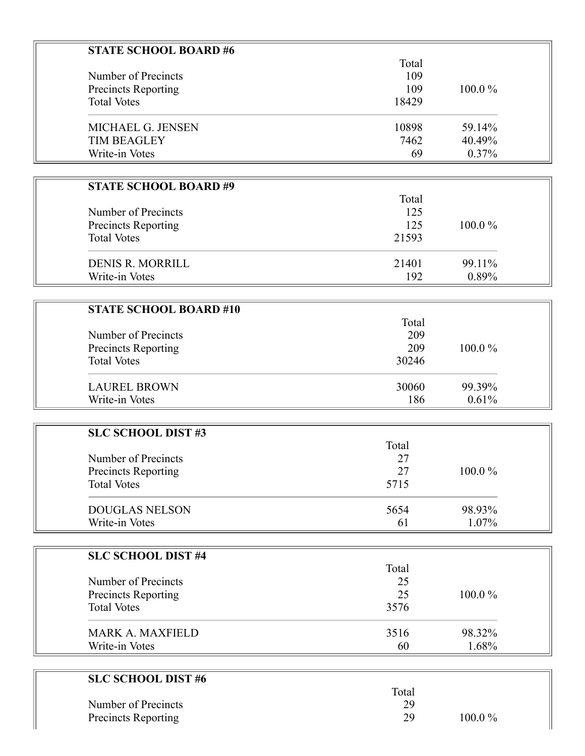| <b>STATE SCHOOL BOARD #6</b>  |       |        |  |
|-------------------------------|-------|--------|--|
|                               | Total |        |  |
| Number of Precincts           | 109   |        |  |
| Precincts Reporting           | 109   | 100.0% |  |
| <b>Total Votes</b>            | 18429 |        |  |
| MICHAEL G. JENSEN             | 10898 | 59.14% |  |
| <b>TIM BEAGLEY</b>            | 7462  | 40.49% |  |
| Write-in Votes                | 69    | 0.37%  |  |
|                               |       |        |  |
| <b>STATE SCHOOL BOARD #9</b>  |       |        |  |
|                               | Total |        |  |
| Number of Precincts           | 125   |        |  |
| <b>Precincts Reporting</b>    | 125   | 100.0% |  |
| <b>Total Votes</b>            | 21593 |        |  |
| <b>DENIS R. MORRILL</b>       | 21401 | 99.11% |  |
| Write-in Votes                | 192   | 0.89%  |  |
|                               |       |        |  |
| <b>STATE SCHOOL BOARD #10</b> |       |        |  |
|                               | Total |        |  |
| Number of Precincts           | 209   |        |  |
| <b>Precincts Reporting</b>    | 209   | 100.0% |  |
| <b>Total Votes</b>            | 30246 |        |  |
| <b>LAUREL BROWN</b>           | 30060 | 99.39% |  |
| Write-in Votes                | 186   | 0.61%  |  |
|                               |       |        |  |
| <b>SLC SCHOOL DIST#3</b>      |       |        |  |
|                               | Total |        |  |
| Number of Precincts           | 27    |        |  |
| Precincts Reporting           | 27    | 100.0% |  |
| <b>Total Votes</b>            | 5715  |        |  |
| <b>DOUGLAS NELSON</b>         | 5654  | 98.93% |  |
| Write-in Votes                | 61    | 1.07%  |  |
|                               |       |        |  |
| <b>SLC SCHOOL DIST #4</b>     |       |        |  |
|                               | Total |        |  |
| Number of Precincts           | 25    |        |  |
| Precincts Reporting           | 25    | 100.0% |  |
| <b>Total Votes</b>            | 3576  |        |  |
| <b>MARK A. MAXFIELD</b>       | 3516  | 98.32% |  |
| Write-in Votes                | 60    | 1.68%  |  |
|                               |       |        |  |
| <b>SLC SCHOOL DIST #6</b>     |       |        |  |
|                               | Total |        |  |

| Number of Precincts |           |
|---------------------|-----------|
| Precincts Reporting | $100.0\%$ |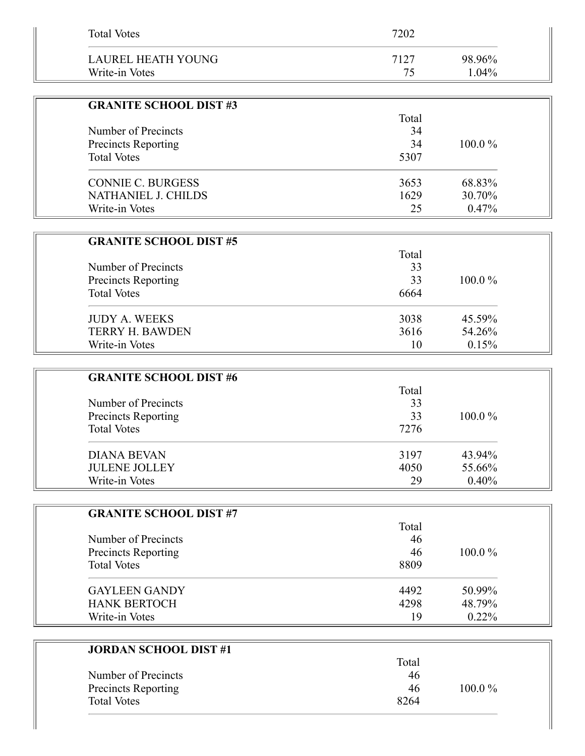| <b>Total Votes</b>            | 7202  |        |
|-------------------------------|-------|--------|
| <b>LAUREL HEATH YOUNG</b>     | 7127  | 98.96% |
| Write-in Votes                | 75    | 1.04%  |
|                               |       |        |
| <b>GRANITE SCHOOL DIST #3</b> |       |        |
|                               | Total |        |
| Number of Precincts           | 34    |        |
| <b>Precincts Reporting</b>    | 34    | 100.0% |
| <b>Total Votes</b>            | 5307  |        |
| <b>CONNIE C. BURGESS</b>      | 3653  | 68.83% |
| NATHANIEL J. CHILDS           | 1629  | 30.70% |
| Write-in Votes                | 25    | 0.47%  |
|                               |       |        |
| <b>GRANITE SCHOOL DIST #5</b> |       |        |
|                               | Total |        |
| Number of Precincts           | 33    |        |
| Precincts Reporting           | 33    | 100.0% |
| <b>Total Votes</b>            | 6664  |        |
| <b>JUDY A. WEEKS</b>          | 3038  | 45.59% |
| <b>TERRY H. BAWDEN</b>        | 3616  | 54.26% |
| Write-in Votes                | 10    | 0.15%  |
|                               |       |        |
| <b>GRANITE SCHOOL DIST #6</b> |       |        |
|                               | Total |        |
| Number of Precincts           | 33    |        |
| <b>Precincts Reporting</b>    | 33    | 100.0% |
| <b>Total Votes</b>            | 7276  |        |
| <b>DIANA BEVAN</b>            | 3197  | 43.94% |
| <b>JULENE JOLLEY</b>          | 4050  | 55.66% |
| Write-in Votes                | 29    | 0.40%  |
|                               |       |        |
| <b>GRANITE SCHOOL DIST #7</b> |       |        |
|                               | Total |        |
| Number of Precincts           | 46    |        |
| <b>Precincts Reporting</b>    | 46    | 100.0% |
| <b>Total Votes</b>            | 8809  |        |
| <b>GAYLEEN GANDY</b>          | 4492  | 50.99% |
| <b>HANK BERTOCH</b>           | 4298  | 48.79% |
| Write-in Votes                | 19    | 0.22%  |
|                               |       |        |
| <b>JORDAN SCHOOL DIST #1</b>  |       |        |
|                               | Total |        |

|                     | Tutai |           |
|---------------------|-------|-----------|
| Number of Precincts | 46    |           |
| Precincts Reporting | 46    | $100.0\%$ |
| <b>Total Votes</b>  | 8264  |           |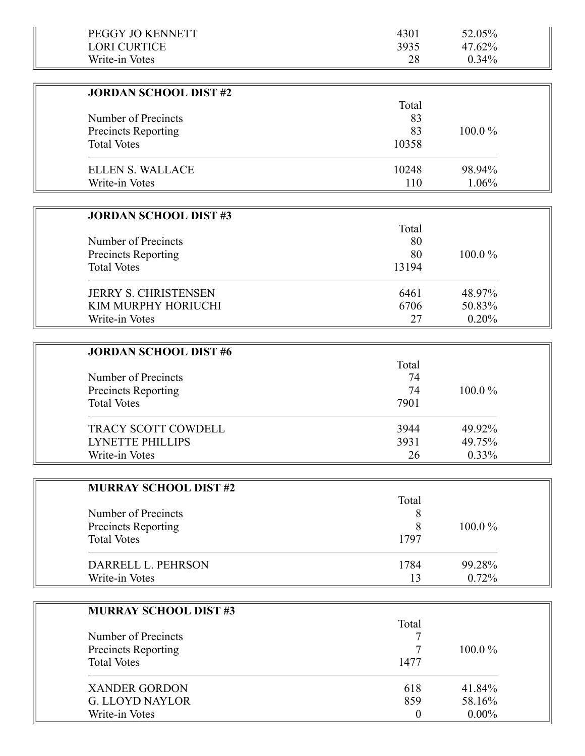| PEGGY JO KENNETT             | 4301             | 52.05%   |  |
|------------------------------|------------------|----------|--|
| <b>LORI CURTICE</b>          | 3935             | 47.62%   |  |
| Write-in Votes               | 28               | 0.34%    |  |
|                              |                  |          |  |
| <b>JORDAN SCHOOL DIST #2</b> |                  |          |  |
|                              | Total            |          |  |
| Number of Precincts          | 83               |          |  |
| Precincts Reporting          | 83               | 100.0%   |  |
| <b>Total Votes</b>           | 10358            |          |  |
| <b>ELLEN S. WALLACE</b>      | 10248            | 98.94%   |  |
| Write-in Votes               | 110              | 1.06%    |  |
|                              |                  |          |  |
| <b>JORDAN SCHOOL DIST #3</b> |                  |          |  |
|                              | Total            |          |  |
| Number of Precincts          | 80               |          |  |
| <b>Precincts Reporting</b>   | 80               | 100.0%   |  |
| <b>Total Votes</b>           | 13194            |          |  |
|                              |                  |          |  |
| <b>JERRY S. CHRISTENSEN</b>  | 6461             | 48.97%   |  |
| KIM MURPHY HORIUCHI          | 6706             | 50.83%   |  |
| Write-in Votes               | 27               | 0.20%    |  |
|                              |                  |          |  |
| <b>JORDAN SCHOOL DIST #6</b> |                  |          |  |
|                              | Total            |          |  |
| Number of Precincts          | 74               |          |  |
| Precincts Reporting          | 74               | 100.0%   |  |
| <b>Total Votes</b>           | 7901             |          |  |
| TRACY SCOTT COWDELL          | 3944             | 49.92%   |  |
| <b>LYNETTE PHILLIPS</b>      | 3931             | 49.75%   |  |
| Write-in Votes               | 26               | 0.33%    |  |
|                              |                  |          |  |
| <b>MURRAY SCHOOL DIST #2</b> |                  |          |  |
|                              | Total            |          |  |
| Number of Precincts          | 8                |          |  |
| <b>Precincts Reporting</b>   | 8                | 100.0%   |  |
| <b>Total Votes</b>           | 1797             |          |  |
|                              |                  |          |  |
| DARRELL L. PEHRSON           | 1784             | 99.28%   |  |
| Write-in Votes               | 13               | 0.72%    |  |
|                              |                  |          |  |
| <b>MURRAY SCHOOL DIST #3</b> |                  |          |  |
|                              | Total            |          |  |
| Number of Precincts          |                  |          |  |
| <b>Precincts Reporting</b>   | 7                | 100.0%   |  |
| <b>Total Votes</b>           | 1477             |          |  |
| <b>XANDER GORDON</b>         | 618              | 41.84%   |  |
| <b>G. LLOYD NAYLOR</b>       | 859              | 58.16%   |  |
| Write-in Votes               | $\boldsymbol{0}$ | $0.00\%$ |  |
|                              |                  |          |  |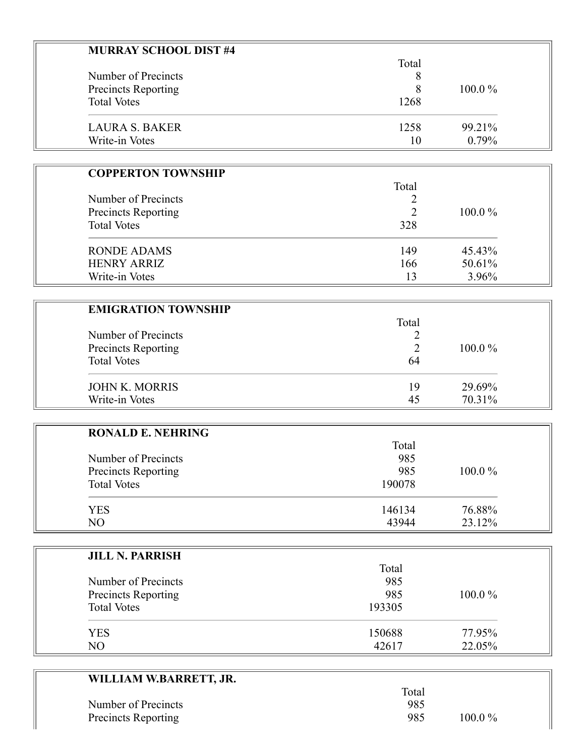| <b>MURRAY SCHOOL DIST #4</b> |       |           |
|------------------------------|-------|-----------|
|                              | Total |           |
| Number of Precincts          |       |           |
| Precincts Reporting          | 8     | $100.0\%$ |
| <b>Total Votes</b>           | 1268  |           |
| <b>LAURA S. BAKER</b>        | 1258  | 99.21%    |
| Write-in Votes               | 10    | $0.79\%$  |

| <b>COPPERTON TOWNSHIP</b>                                               |                    |           |
|-------------------------------------------------------------------------|--------------------|-----------|
| Number of Precincts<br><b>Precincts Reporting</b><br><b>Total Votes</b> | Total              | $100.0\%$ |
|                                                                         |                    |           |
|                                                                         |                    |           |
|                                                                         | <b>RONDE ADAMS</b> |           |
| <b>HENRY ARRIZ</b>                                                      | 166                | 50.61%    |
| Write-in Votes                                                          | 13                 | 3.96%     |

| <b>EMIGRATION TOWNSHIP</b> | Total |           |
|----------------------------|-------|-----------|
| Number of Precincts        |       |           |
| Precincts Reporting        |       | $100.0\%$ |
| <b>Total Votes</b>         | 64    |           |
| <b>JOHN K. MORRIS</b>      | 19    | 29.69%    |
| Write-in Votes             | 45    | 70.31%    |

÷.

| <b>RONALD E. NEHRING</b> |        |        |
|--------------------------|--------|--------|
|                          | Total  |        |
| Number of Precincts      | 985    |        |
| Precincts Reporting      | 985    | 100.0% |
| <b>Total Votes</b>       | 190078 |        |
| <b>YES</b>               | 146134 | 76.88% |
| N <sub>O</sub>           | 43944  | 23.12% |

| <b>JILL N. PARRISH</b> |        |        |
|------------------------|--------|--------|
|                        | Total  |        |
| Number of Precincts    | 985    |        |
| Precincts Reporting    | 985    | 100.0% |
| <b>Total Votes</b>     | 193305 |        |
| <b>YES</b>             | 150688 | 77.95% |
| NO                     | 42617  | 22.05% |

| WILLIAM W.BARRETT, JR. |       |           |
|------------------------|-------|-----------|
|                        | Total |           |
| Number of Precincts    | 985   |           |
| Precincts Reporting    | 985   | $100.0\%$ |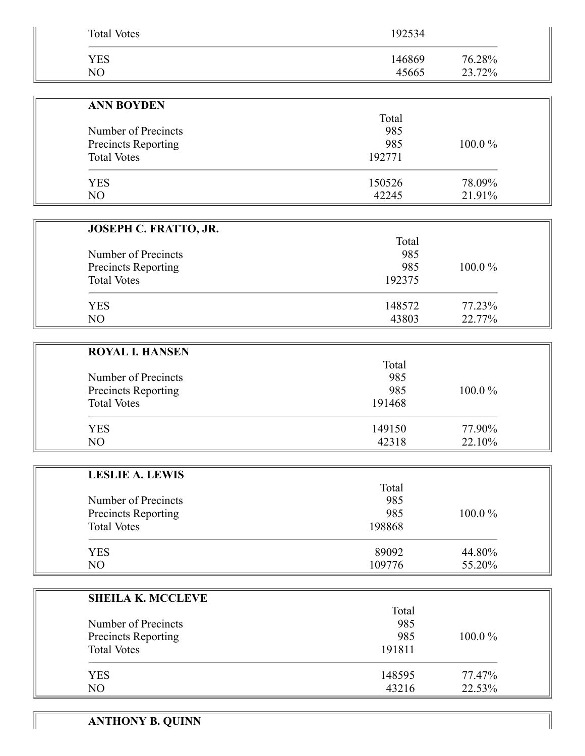| <b>Total Votes</b>                        | 192534     |        |
|-------------------------------------------|------------|--------|
| <b>YES</b>                                | 146869     | 76.28% |
| NO                                        | 45665      | 23.72% |
|                                           |            |        |
| <b>ANN BOYDEN</b>                         |            |        |
|                                           | Total      |        |
| Number of Precincts                       | 985<br>985 | 100.0% |
| Precincts Reporting<br><b>Total Votes</b> | 192771     |        |
|                                           |            |        |
| <b>YES</b>                                | 150526     | 78.09% |
| NO                                        | 42245      | 21.91% |
|                                           |            |        |
| JOSEPH C. FRATTO, JR.                     |            |        |
|                                           | Total      |        |
| Number of Precincts                       | 985<br>985 | 100.0% |
| Precincts Reporting<br><b>Total Votes</b> | 192375     |        |
|                                           |            |        |
| <b>YES</b>                                | 148572     | 77.23% |
| NO                                        | 43803      | 22.77% |
|                                           |            |        |
| <b>ROYAL I. HANSEN</b>                    |            |        |
|                                           | Total      |        |
| Number of Precincts                       | 985        |        |
| Precincts Reporting                       | 985        | 100.0% |
| <b>Total Votes</b>                        | 191468     |        |
| <b>YES</b>                                | 149150     | 77.90% |
| NO                                        | 42318      | 22.10% |
|                                           |            |        |
| <b>LESLIE A. LEWIS</b>                    |            |        |
|                                           | Total      |        |
| Number of Precincts                       | 985        |        |
| Precincts Reporting                       | 985        | 100.0% |
| <b>Total Votes</b>                        | 198868     |        |
| <b>YES</b>                                | 89092      | 44.80% |
| NO                                        | 109776     | 55.20% |
|                                           |            |        |
| <b>SHEILA K. MCCLEVE</b>                  |            |        |
|                                           | Total      |        |
| Number of Precincts                       | 985        |        |
| Precincts Reporting                       | 985        | 100.0% |
| <b>Total Votes</b>                        | 191811     |        |
| <b>YES</b>                                | 148595     | 77.47% |
| NO                                        | 43216      | 22.53% |
|                                           |            |        |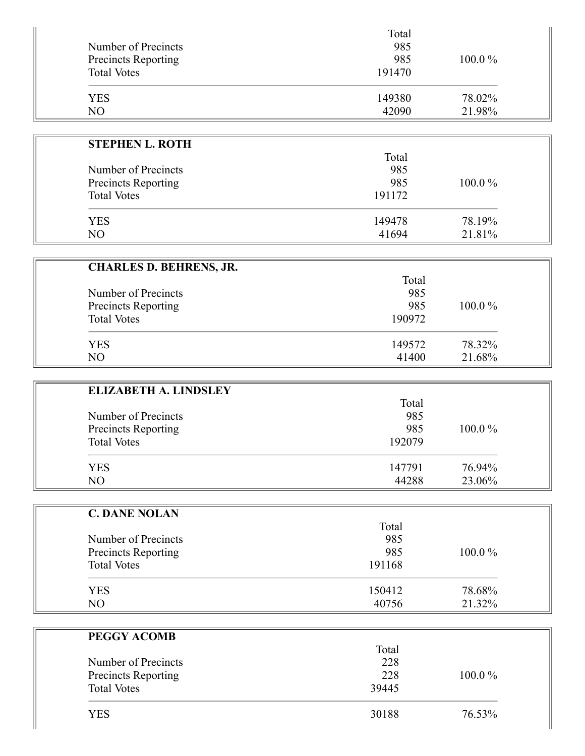| Number of Precincts<br><b>Precincts Reporting</b><br><b>Total Votes</b> | Total<br>985<br>985<br>191470 | $100.0\%$ |
|-------------------------------------------------------------------------|-------------------------------|-----------|
| <b>YES</b>                                                              | 149380                        | 78.02%    |
| NO                                                                      | 42090                         | 21.98%    |

| <b>STEPHEN L. ROTH</b> |        |           |
|------------------------|--------|-----------|
|                        | Total  |           |
| Number of Precincts    | 985    |           |
| Precincts Reporting    | 985    | $100.0\%$ |
| <b>Total Votes</b>     | 191172 |           |
| <b>YES</b>             | 149478 | 78.19%    |
| N <sub>O</sub>         | 41694  | 21.81%    |

| <b>CHARLES D. BEHRENS, JR.</b> |        |           |
|--------------------------------|--------|-----------|
|                                | Total  |           |
| Number of Precincts            | 985    |           |
| Precincts Reporting            | 985    | $100.0\%$ |
| <b>Total Votes</b>             | 190972 |           |
| <b>YES</b>                     | 149572 | 78.32%    |
| NO                             | 41400  | 21.68%    |

| <b>ELIZABETH A. LINDSLEY</b> |        |           |
|------------------------------|--------|-----------|
|                              | Total  |           |
| Number of Precincts          | 985    |           |
| Precincts Reporting          | 985    | $100.0\%$ |
| <b>Total Votes</b>           | 192079 |           |
| <b>YES</b>                   | 147791 | 76.94%    |
| NO                           | 44288  | 23.06%    |

| <b>C. DANE NOLAN</b> |        |           |
|----------------------|--------|-----------|
|                      | Total  |           |
| Number of Precincts  | 985    |           |
| Precincts Reporting  | 985    | $100.0\%$ |
| <b>Total Votes</b>   | 191168 |           |
| <b>YES</b>           | 150412 | 78.68%    |
| NO                   | 40756  | 21.32%    |

| PEGGY ACOMB         |       |           |
|---------------------|-------|-----------|
|                     | Total |           |
| Number of Precincts | 228   |           |
| Precincts Reporting | 228   | $100.0\%$ |
| <b>Total Votes</b>  | 39445 |           |
| YES                 | 30188 | 76.53%    |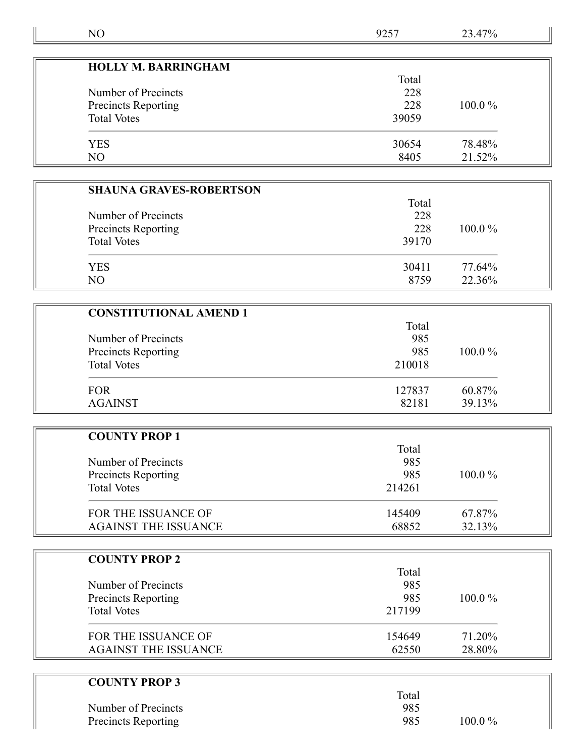| NO                             | 9257   | 23.47% |  |
|--------------------------------|--------|--------|--|
|                                |        |        |  |
| <b>HOLLY M. BARRINGHAM</b>     | Total  |        |  |
| Number of Precincts            | 228    |        |  |
| Precincts Reporting            | 228    | 100.0% |  |
| <b>Total Votes</b>             | 39059  |        |  |
|                                |        |        |  |
| <b>YES</b>                     | 30654  | 78.48% |  |
| NO                             | 8405   | 21.52% |  |
|                                |        |        |  |
| <b>SHAUNA GRAVES-ROBERTSON</b> |        |        |  |
| Number of Precincts            | 228    | Total  |  |
| <b>Precincts Reporting</b>     | 228    | 100.0% |  |
| <b>Total Votes</b>             | 39170  |        |  |
|                                |        |        |  |
| <b>YES</b>                     | 30411  | 77.64% |  |
| NO                             | 8759   | 22.36% |  |
|                                |        |        |  |
| <b>CONSTITUTIONAL AMEND 1</b>  |        |        |  |
|                                | Total  |        |  |
| Number of Precincts            | 985    |        |  |
| Precincts Reporting            | 985    | 100.0% |  |
| <b>Total Votes</b>             | 210018 |        |  |
| <b>FOR</b>                     | 127837 | 60.87% |  |
| <b>AGAINST</b>                 | 82181  | 39.13% |  |
|                                |        |        |  |
| <b>COUNTY PROP 1</b>           |        |        |  |
|                                | Total  |        |  |
| Number of Precincts            | 985    |        |  |
| Precincts Reporting            | 985    | 100.0% |  |
| <b>Total Votes</b>             | 214261 |        |  |
| FOR THE ISSUANCE OF            | 145409 | 67.87% |  |
| <b>AGAINST THE ISSUANCE</b>    | 68852  | 32.13% |  |
|                                |        |        |  |
| <b>COUNTY PROP 2</b>           |        |        |  |
|                                | Total  |        |  |
| Number of Precincts            | 985    |        |  |
| Precincts Reporting            | 985    | 100.0% |  |
| <b>Total Votes</b>             | 217199 |        |  |
|                                |        |        |  |
| FOR THE ISSUANCE OF            | 154649 | 71.20% |  |

| Total |           |  |
|-------|-----------|--|
| 985   |           |  |
| 985   | $100.0\%$ |  |
|       |           |  |